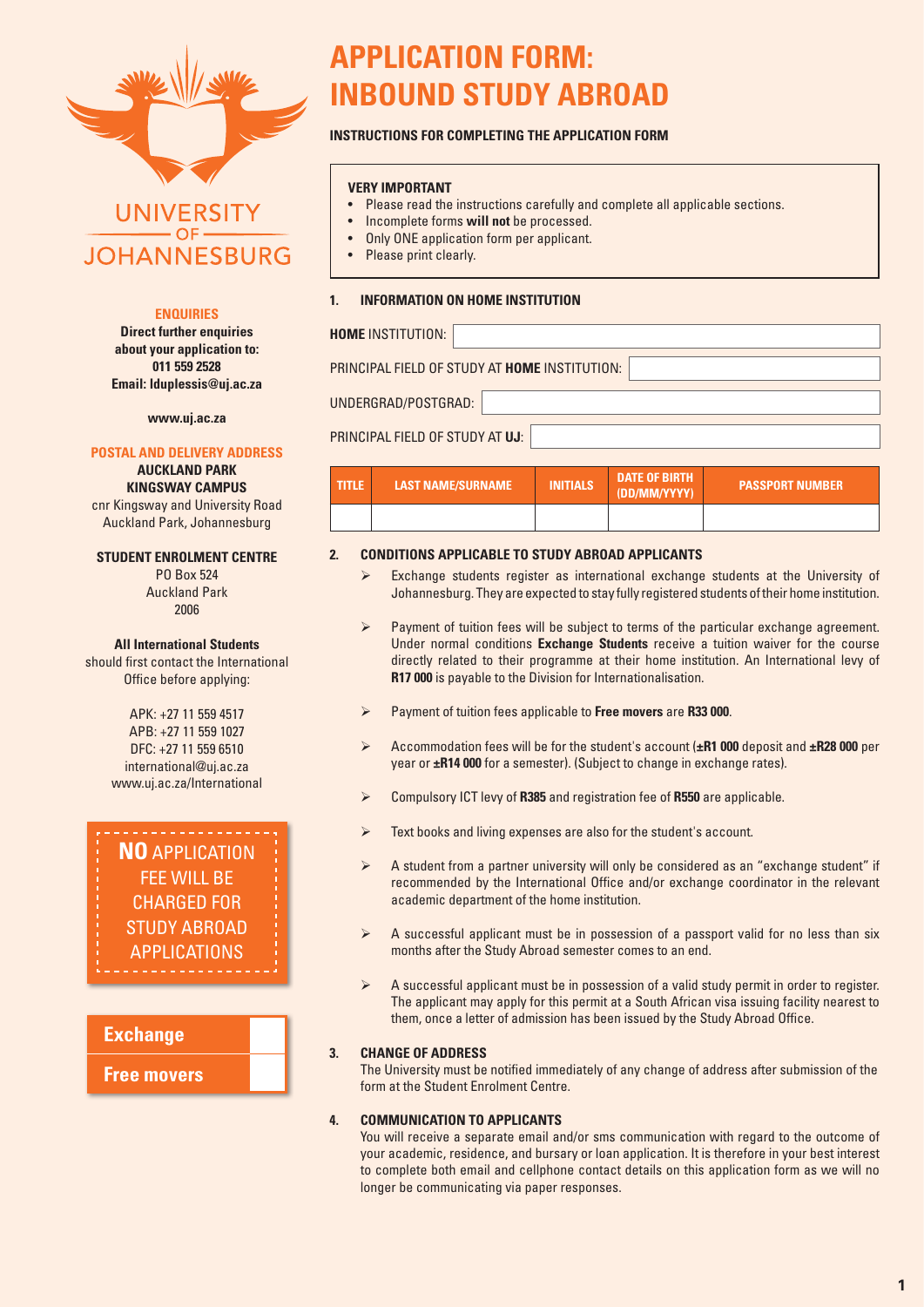

# **UNIVERSITY JOHANNESBURG**

# **ENQUIRIES**

**Direct further enquiries about your application to: 011 559 2528 Email: lduplessis@uj.ac.za**

**www.uj.ac.za**

### **POSTAL AND DELIVERY ADDRESS**

**AUCKLAND PARK KINGSWAY CAMPUS**

cnr Kingsway and University Road Auckland Park, Johannesburg

### **STUDENT ENROLMENT CENTRE**

PO Box 524 Auckland Park 2006

### **All International Students**

should first contact the International Office before applying:

> APK: +27 11 559 4517 APB: +27 11 559 1027 DFC: +27 11 559 6510 international@uj.ac.za www.uj.ac.za/International



# **Exchange**

# **Free movers**

# **APPLICATION FORM: INBOUND STUDY ABROAD**

# **INSTRUCTIONS FOR COMPLETING THE APPLICATION FORM**

### **VERY IMPORTANT**

- Please read the instructions carefully and complete all applicable sections.
- Incomplete forms **will not** be processed.
- Only ONE application form per applicant.
- Please print clearly.

### **1. INFORMATION ON HOME INSTITUTION**

### **HOME** INSTITUTION:

PRINCIPAL FIELD OF STUDY AT **HOME** INSTITUTION:

UNDERGRAD/POSTGRAD:

# PRINCIPAL FIELD OF STUDY AT **UJ**:

| I TITLE. | LAST NAME/SURNAME | <b>INITIALS</b> | <b>DATE OF BIRTH</b><br>(DD/MM/YYYY) | <b>PASSPORT NUMBER</b> |
|----------|-------------------|-----------------|--------------------------------------|------------------------|
|          |                   |                 |                                      |                        |

# **2. CONDITIONS APPLICABLE TO STUDY ABROAD APPLICANTS**

- $\triangleright$  Exchange students register as international exchange students at the University of Johannesburg. They are expected to stay fully registered students of their home institution.
- $\triangleright$  Payment of tuition fees will be subject to terms of the particular exchange agreement. Under normal conditions **Exchange Students** receive a tuition waiver for the course directly related to their programme at their home institution. An International levy of **R17 000** is payable to the Division for Internationalisation.
- Payment of tuition fees applicable to **Free movers** are **R33 000**.
- Accommodation fees will be for the student's account (**±R1 000** deposit and **±R28 000** per year or **±R14 000** for a semester). (Subject to change in exchange rates).
- Compulsory ICT levy of **R385** and registration fee of **R550** are applicable.
- $\triangleright$  Text books and living expenses are also for the student's account.
- A student from a partner university will only be considered as an "exchange student" if recommended by the International Office and/or exchange coordinator in the relevant academic department of the home institution.
- $\triangleright$  A successful applicant must be in possession of a passport valid for no less than six months after the Study Abroad semester comes to an end.
- $\triangleright$  A successful applicant must be in possession of a valid study permit in order to register. The applicant may apply for this permit at a South African visa issuing facility nearest to them, once a letter of admission has been issued by the Study Abroad Office.

### **3. CHANGE OF ADDRESS**

The University must be notified immediately of any change of address after submission of the form at the Student Enrolment Centre.

### **4. COMMUNICATION TO APPLICANTS**

You will receive a separate email and/or sms communication with regard to the outcome of your academic, residence, and bursary or loan application. It is therefore in your best interest to complete both email and cellphone contact details on this application form as we will no longer be communicating via paper responses.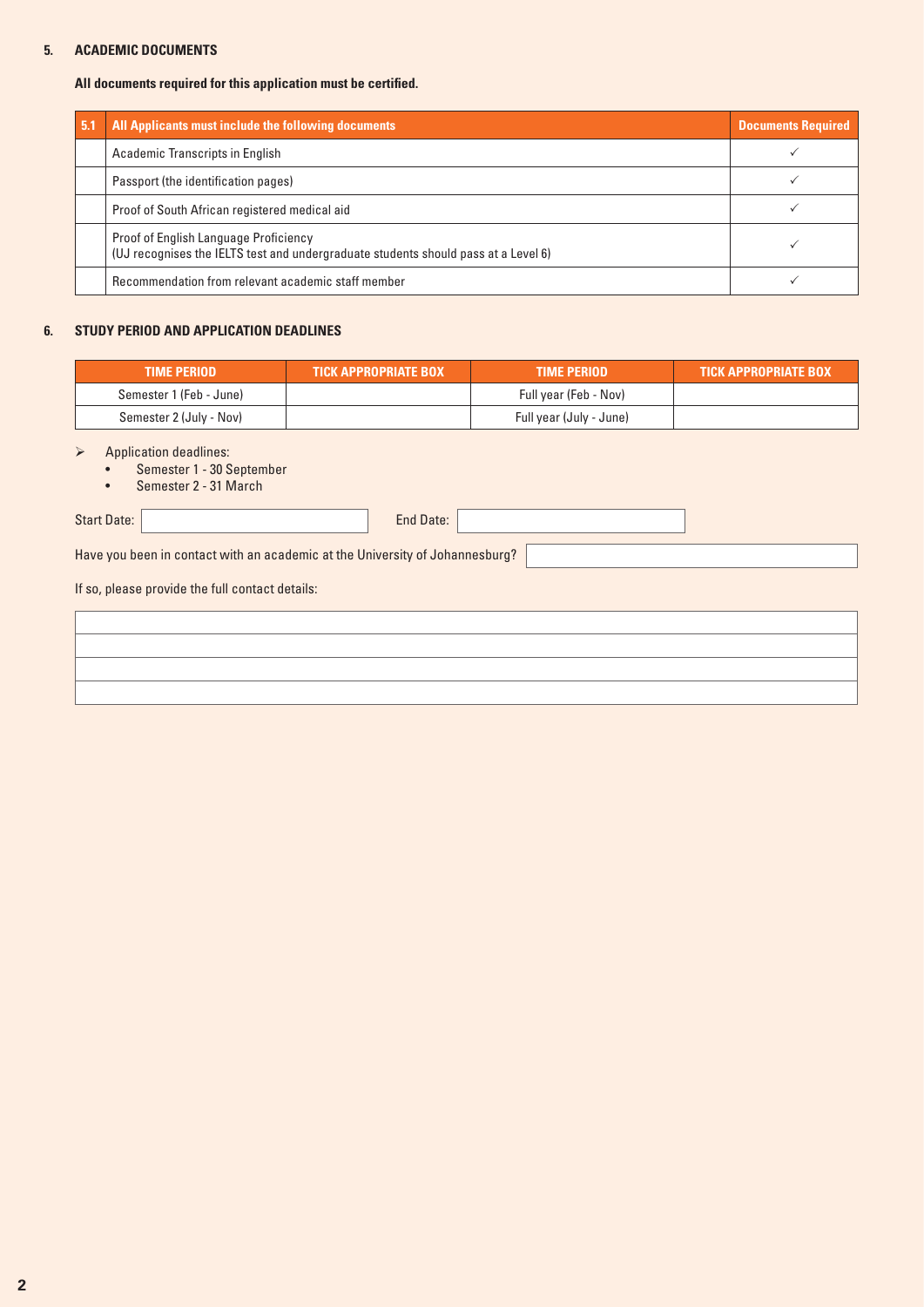# **5. ACADEMIC DOCUMENTS**

### **All documents required for this application must be certified.**

| 5.1 | All Applicants must include the following documents                                                                         | <b>Documents Required</b> |
|-----|-----------------------------------------------------------------------------------------------------------------------------|---------------------------|
|     | Academic Transcripts in English                                                                                             |                           |
|     | Passport (the identification pages)                                                                                         |                           |
|     | Proof of South African registered medical aid                                                                               |                           |
|     | Proof of English Language Proficiency<br>(UJ recognises the IELTS test and undergraduate students should pass at a Level 6) |                           |
|     | Recommendation from relevant academic staff member                                                                          |                           |

### **6. STUDY PERIOD AND APPLICATION DEADLINES**

| <b>TIME PERIOD</b>      | <b>\TICK APPROPRIATE BOX \</b> | <b>TIME PERIOD</b>      | <b>TICK APPROPRIATE BOX</b> |
|-------------------------|--------------------------------|-------------------------|-----------------------------|
| Semester 1 (Feb - June) |                                | Full year (Feb - Nov)   |                             |
| Semester 2 (July - Nov) |                                | Full year (July - June) |                             |

 $\triangleright$  Application deadlines:

- Semester 1 30 September
- Semester 2 31 March

Start Date: End Date:

Have you been in contact with an academic at the University of Johannesburg?

If so, please provide the full contact details: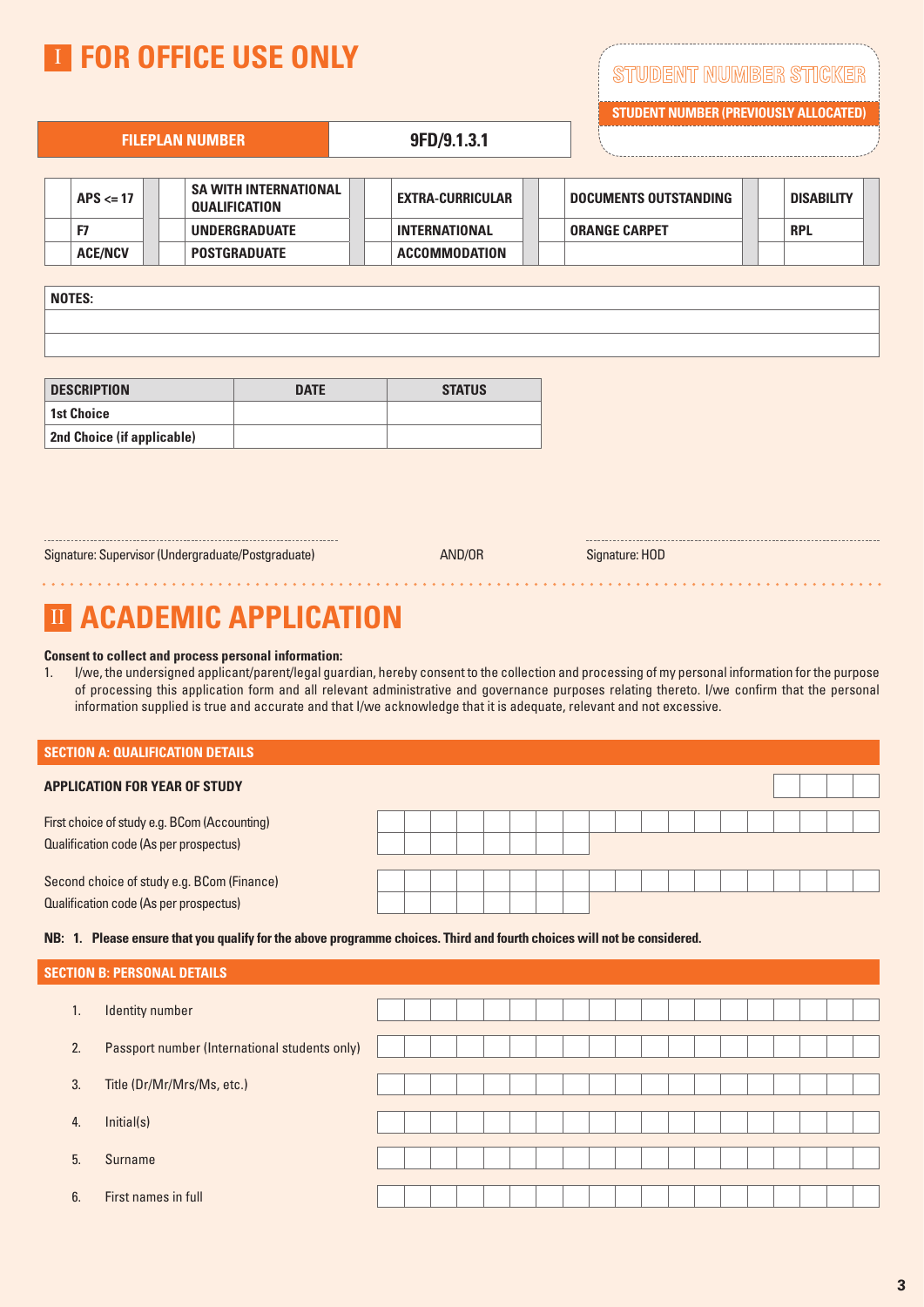|                | <b>TE FOR OFFICE USE ONLY</b>                        |                         |                              | STUDENT NUMBER STICKER<br><b>STUDENT NUMBER (PREVIOUSLY ALLOCATED)</b> |
|----------------|------------------------------------------------------|-------------------------|------------------------------|------------------------------------------------------------------------|
|                | <b>FILEPLAN NUMBER</b>                               | 9FD/9.1.3.1             |                              |                                                                        |
| $APS \leq 17$  | <b>SA WITH INTERNATIONAL</b><br><b>QUALIFICATION</b> | <b>EXTRA-CURRICULAR</b> | <b>DOCUMENTS OUTSTANDING</b> | <b>DISABILITY</b>                                                      |
| F7             | <b>UNDERGRADUATE</b>                                 | <b>INTERNATIONAL</b>    | <b>ORANGE CARPET</b>         | <b>RPL</b>                                                             |
| <b>ACE/NCV</b> | <b>POSTGRADUATE</b>                                  | <b>ACCOMMODATION</b>    |                              |                                                                        |
| $- - - - - -$  |                                                      |                         |                              |                                                                        |

| <b>NOTES:</b> |  |  |  |
|---------------|--|--|--|
|               |  |  |  |
|               |  |  |  |

| <b>DESCRIPTION</b>                | <b>DATE</b> | <b>STATUS</b> |
|-----------------------------------|-------------|---------------|
| 1st Choice                        |             |               |
| <b>2nd Choice (if applicable)</b> |             |               |

Signature: Supervisor (Undergraduate/Postgraduate) Manus AND/OR Signature: HOD

AND/OR

# **III ACADEMIC APPLICATION**

### **Consent to collect and process personal information:**

1. I/we, the undersigned applicant/parent/legal guardian, hereby consent to the collection and processing of my personal information for the purpose of processing this application form and all relevant administrative and governance purposes relating thereto. I/we confirm that the personal information supplied is true and accurate and that I/we acknowledge that it is adequate, relevant and not excessive.

| l section A: Qualification details |  |
|------------------------------------|--|
|------------------------------------|--|

| <b>APPLICATION FOR YEAR OF STUDY</b>                                                   |  |  |  |  |  |  |  |  |  |  |
|----------------------------------------------------------------------------------------|--|--|--|--|--|--|--|--|--|--|
| First choice of study e.g. BCom (Accounting)<br>Qualification code (As per prospectus) |  |  |  |  |  |  |  |  |  |  |
| Second choice of study e.g. BCom (Finance)<br>Qualification code (As per prospectus)   |  |  |  |  |  |  |  |  |  |  |

### **NB: 1. Please ensure that you qualify for the above programme choices. Third and fourth choices will not be considered.**

|    | Section B: Personal Details                   |  |  |  |  |  |  |  |  |  |  |
|----|-----------------------------------------------|--|--|--|--|--|--|--|--|--|--|
| 1. | <b>Identity number</b>                        |  |  |  |  |  |  |  |  |  |  |
| 2. | Passport number (International students only) |  |  |  |  |  |  |  |  |  |  |
| 3. | Title (Dr/Mr/Mrs/Ms, etc.)                    |  |  |  |  |  |  |  |  |  |  |
| 4. | Initial(s)                                    |  |  |  |  |  |  |  |  |  |  |
| 5. | Surname                                       |  |  |  |  |  |  |  |  |  |  |
| 6. | First names in full                           |  |  |  |  |  |  |  |  |  |  |
|    |                                               |  |  |  |  |  |  |  |  |  |  |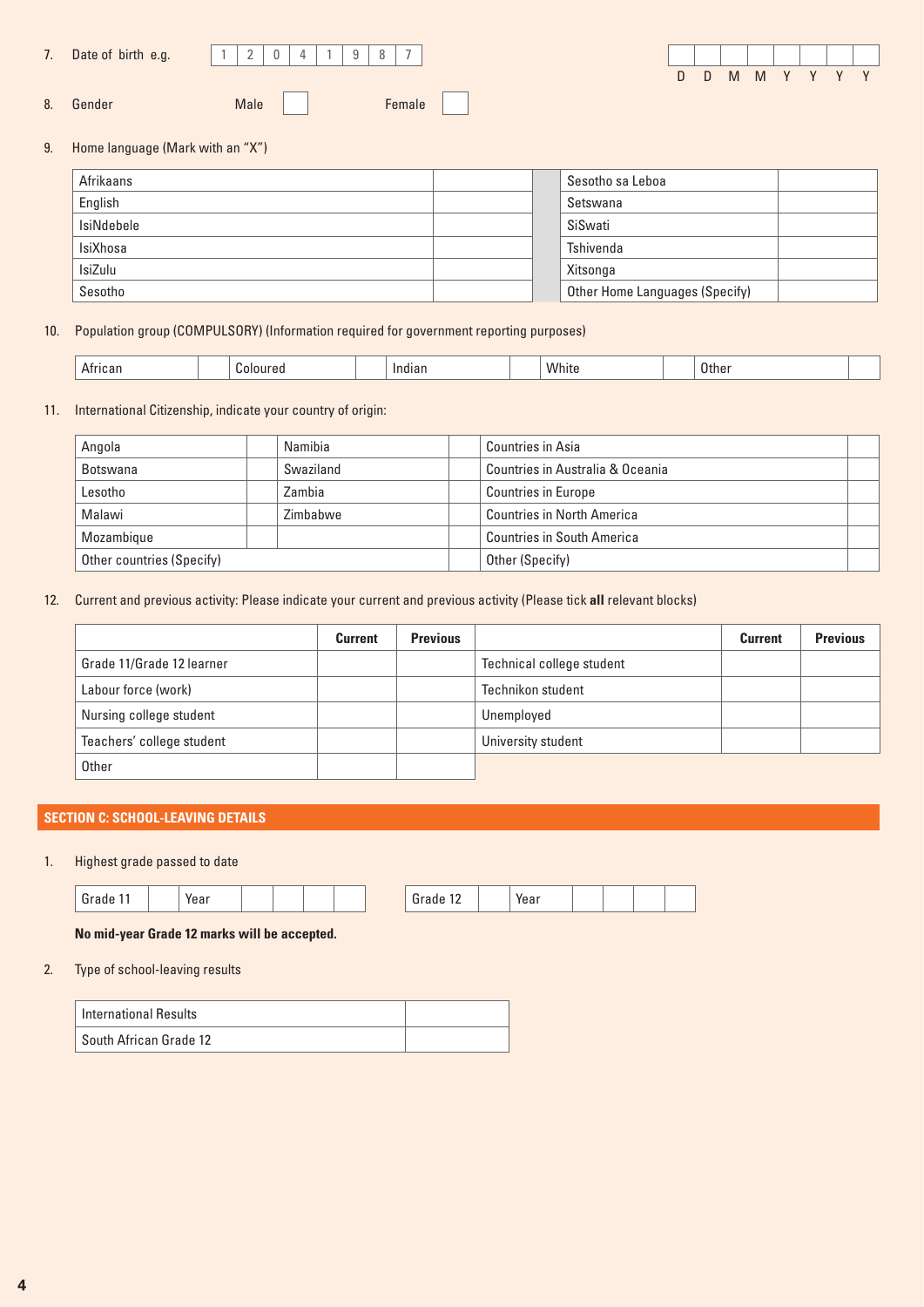| Date of birth e.g. |  |  |  |  |
|--------------------|--|--|--|--|
|                    |  |  |  |  |

8. Gender Male Male Female



9. Home language (Mark with an "X")

| Afrikaans      | Sesotho sa Leboa               |
|----------------|--------------------------------|
| English        | Setswana                       |
| IsiNdebele     | SiSwati                        |
| IsiXhosa       | Tshivenda                      |
| <b>IsiZulu</b> | Xitsonga                       |
| Sesotho        | Other Home Languages (Specify) |

10. Population group (COMPULSORY) (Information required for government reporting purposes)

| 10.AI | nır<br>_ _ _ _ _ | ла | White | Othe<br>____ |  |
|-------|------------------|----|-------|--------------|--|

# 11. International Citizenship, indicate your country of origin:

| Angola                    | Namibia   |  | Countries in Asia                 |  |
|---------------------------|-----------|--|-----------------------------------|--|
| Botswana                  | Swaziland |  | Countries in Australia & Oceania  |  |
| Lesotho                   | Zambia    |  | <b>Countries in Europe</b>        |  |
| Malawi<br>Zimbabwe        |           |  | <b>Countries in North America</b> |  |
| Mozambique                |           |  | <b>Countries in South America</b> |  |
| Other countries (Specify) |           |  | Other (Specify)                   |  |

12. Current and previous activity: Please indicate your current and previous activity (Please tick **all** relevant blocks)

|                           | <b>Current</b> | <b>Previous</b> |                           | <b>Current</b> | <b>Previous</b> |
|---------------------------|----------------|-----------------|---------------------------|----------------|-----------------|
| Grade 11/Grade 12 learner |                |                 | Technical college student |                |                 |
| Labour force (work)       |                |                 | Technikon student         |                |                 |
| Nursing college student   |                |                 | Unemployed                |                |                 |
| Teachers' college student |                |                 | University student        |                |                 |
| Other                     |                |                 |                           |                |                 |

# **SECTION C: SCHOOL-LEAVING DETAILS**

# 1. Highest grade passed to date

| ∽ | rear |  |  | .<br>$\cdot$ $-$ | Year |  |  |
|---|------|--|--|------------------|------|--|--|

# **No mid-year Grade 12 marks will be accepted.**

2. Type of school-leaving results

| International Results  |  |
|------------------------|--|
| South African Grade 12 |  |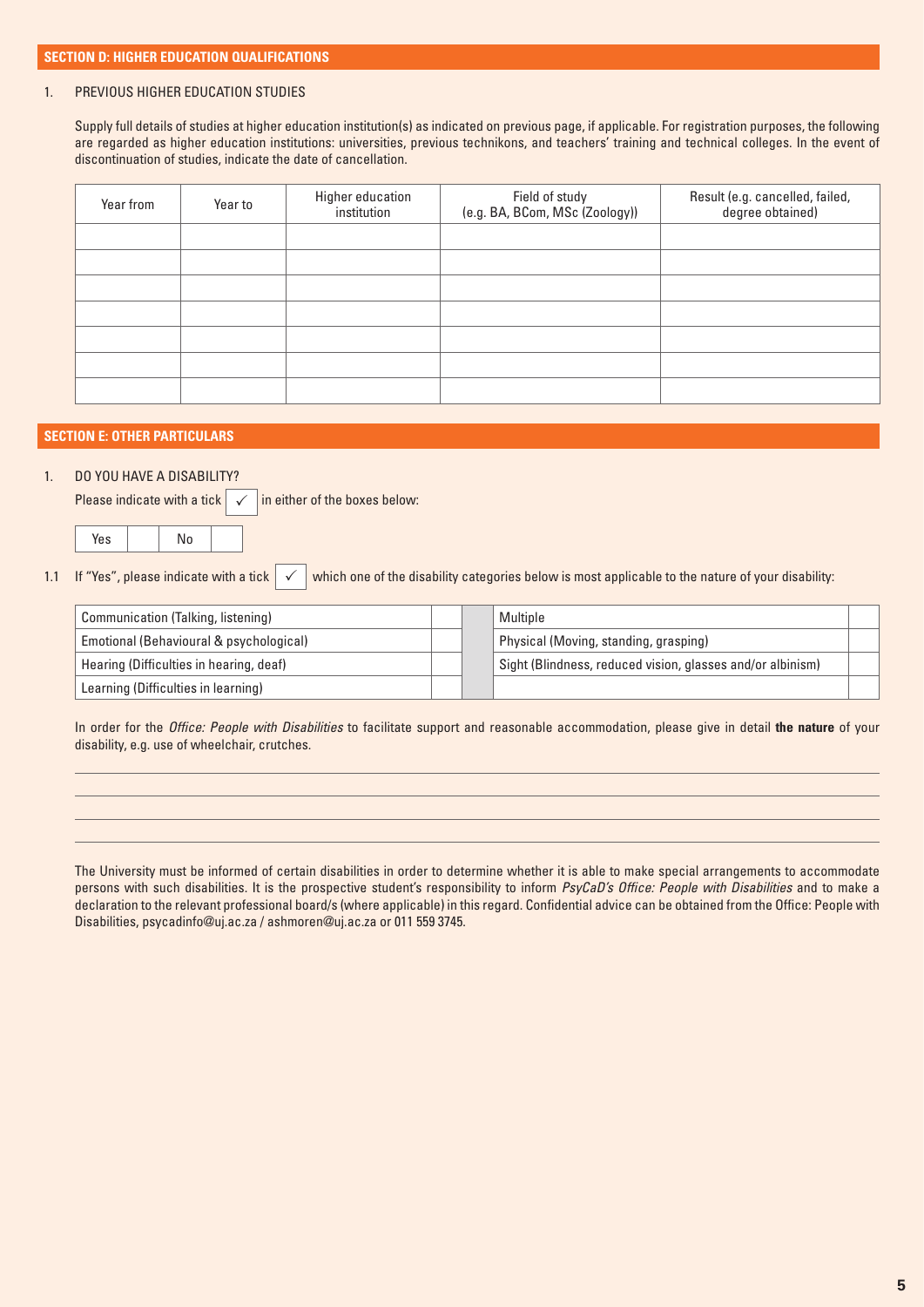### 1. PREVIOUS HIGHER EDUCATION STUDIES

Supply full details of studies at higher education institution(s) as indicated on previous page, if applicable. For registration purposes, the following are regarded as higher education institutions: universities, previous technikons, and teachers' training and technical colleges. In the event of discontinuation of studies, indicate the date of cancellation.

| Year from | Year to | Higher education<br>institution | Field of study<br>(e.g. BA, BCom, MSc (Zoology)) | Result (e.g. cancelled, failed,<br>degree obtained) |
|-----------|---------|---------------------------------|--------------------------------------------------|-----------------------------------------------------|
|           |         |                                 |                                                  |                                                     |
|           |         |                                 |                                                  |                                                     |
|           |         |                                 |                                                  |                                                     |
|           |         |                                 |                                                  |                                                     |
|           |         |                                 |                                                  |                                                     |
|           |         |                                 |                                                  |                                                     |
|           |         |                                 |                                                  |                                                     |

### **SECTION E: OTHER PARTICULARS**

# 1. DO YOU HAVE A DISABILITY?

Please indicate with a tick  $\sqrt{\frac{\ln n}{n}}$  either of the boxes below:  $\checkmark$ 

Yes | No

1.1 If "Yes", please indicate with a tick  $\checkmark$  which one of the disability categories below is most applicable to the nature of your disability:  $\checkmark$ 

| Communication (Talking, listening)      |  | Multiple                                                   |  |
|-----------------------------------------|--|------------------------------------------------------------|--|
| Emotional (Behavioural & psychological) |  | Physical (Moving, standing, grasping)                      |  |
| Hearing (Difficulties in hearing, deaf) |  | Sight (Blindness, reduced vision, glasses and/or albinism) |  |
| Learning (Difficulties in learning)     |  |                                                            |  |

In order for the *Office: People with Disabilities* to facilitate support and reasonable accommodation, please give in detail **the nature** of your disability, e.g. use of wheelchair, crutches.

The University must be informed of certain disabilities in order to determine whether it is able to make special arrangements to accommodate persons with such disabilities. It is the prospective student's responsibility to inform *PsyCaD's Office: People with Disabilities* and to make a declaration to the relevant professional board/s (where applicable) in this regard. Confidential advice can be obtained from the Office: People with Disabilities, psycadinfo@uj.ac.za / ashmoren@uj.ac.za or 011 559 3745.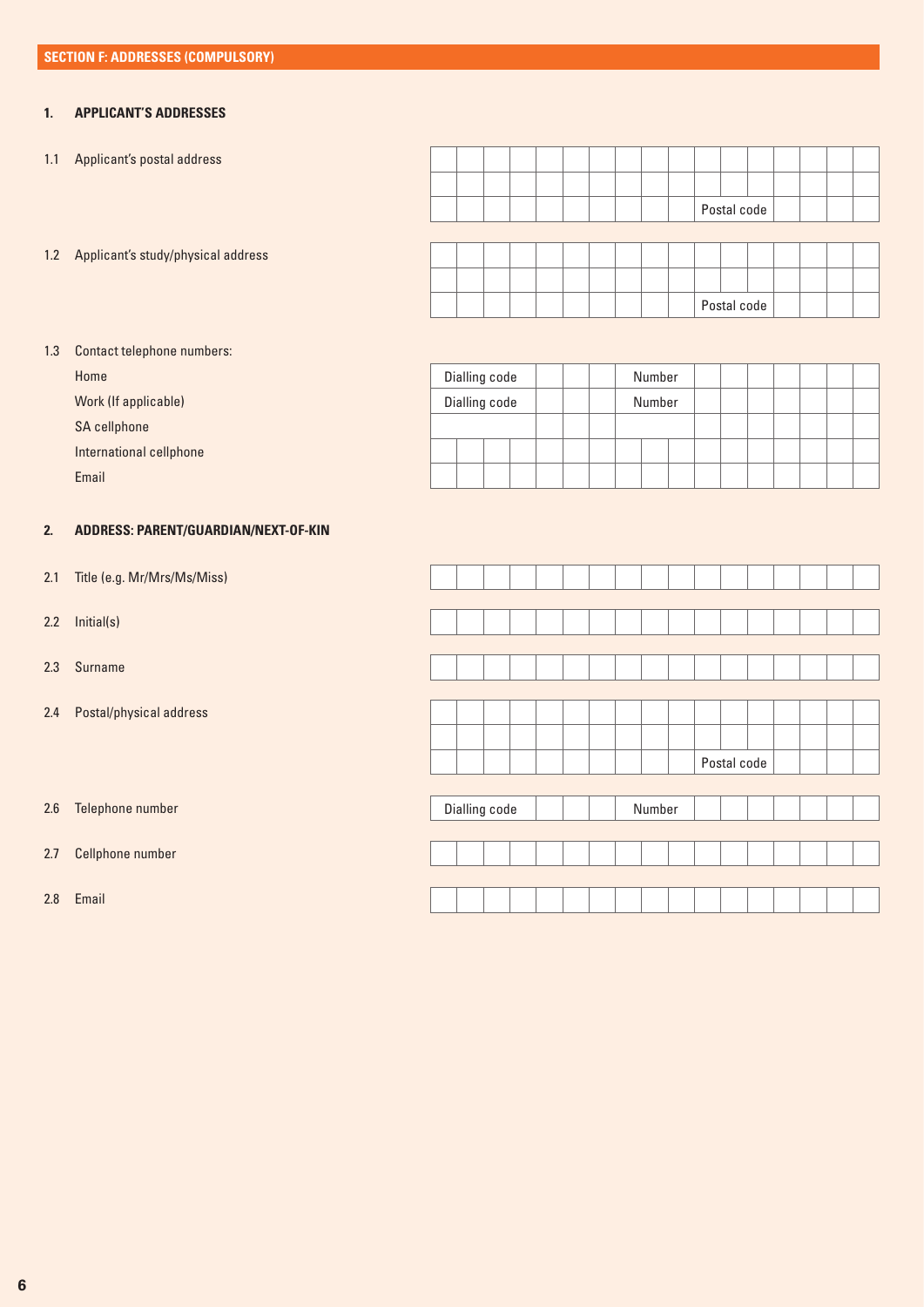# **1. APPLICANT'S ADDRESSES**

1.1 Applicant's postal address

Postal code

1.2 Applicant's study/physical address

|  |  |  |  |  | Postal code |  |  |  |
|--|--|--|--|--|-------------|--|--|--|

# 1.3 Contact telephone numbers:

Home

Work (If applicable)

SA cellphone

International cellphone

Email

# **2. ADDRESS: PARENT/GUARDIAN/NEXT-OF-KIN**

- 2.1 Title (e.g. Mr/Mrs/Ms/Miss)
- 2.2 Initial(s)
- 2.3 Surname
- 2.4 Postal/physical address
- 2.6 Telephone number
- 2.7 Cellphone number

2.8 Email

| Dialling code |        |  | Number |  |  |  |  |  |  |  |
|---------------|--------|--|--------|--|--|--|--|--|--|--|
| Dialling code | Number |  |        |  |  |  |  |  |  |  |
|               |        |  |        |  |  |  |  |  |  |  |
|               |        |  |        |  |  |  |  |  |  |  |
|               |        |  |        |  |  |  |  |  |  |  |

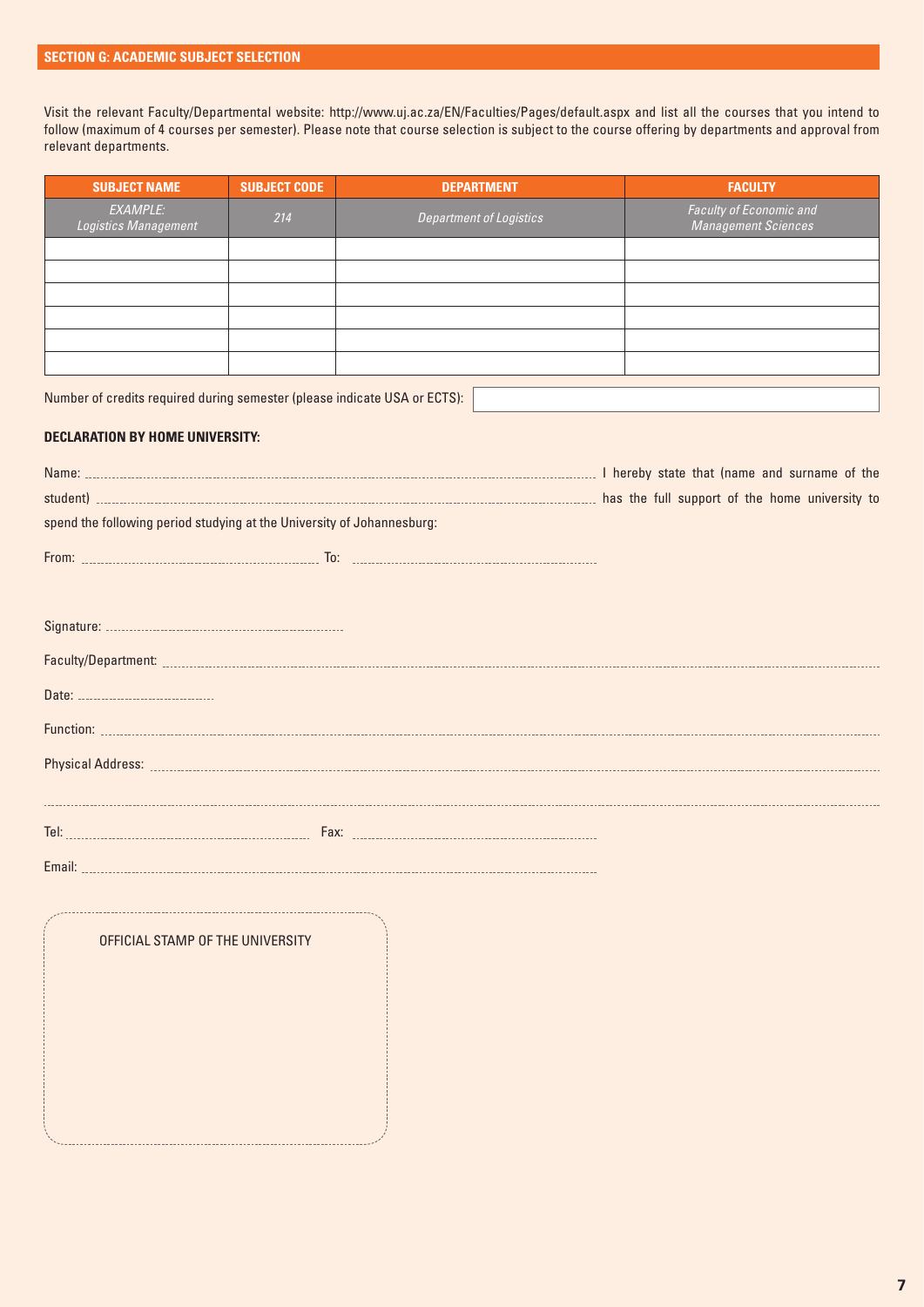Visit the relevant Faculty/Departmental website: http://www.uj.ac.za/EN/Faculties/Pages/default.aspx and list all the courses that you intend to follow (maximum of 4 courses per semester). Please note that course selection is subject to the course offering by departments and approval from relevant departments.

| <b>SUBJECT NAME</b>              | <b>SUBJECT CODE</b> | <b>DEPARTMENT</b>              | <b>FACULTY</b>                                        |
|----------------------------------|---------------------|--------------------------------|-------------------------------------------------------|
| EXAMPLE:<br>Logistics Management | 214                 | <b>Department of Logistics</b> | Faculty of Economic and<br><b>Management Sciences</b> |
|                                  |                     |                                |                                                       |
|                                  |                     |                                |                                                       |
|                                  |                     |                                |                                                       |
|                                  |                     |                                |                                                       |
|                                  |                     |                                |                                                       |
|                                  |                     |                                |                                                       |
|                                  |                     |                                |                                                       |

Number of credits required during semester (please indicate USA or ECTS):

## **DECLARATION BY HOME UNIVERSITY:**

| Name:                                                                  |  |  | I hereby state that (name and surname of the   |  |
|------------------------------------------------------------------------|--|--|------------------------------------------------|--|
| student)                                                               |  |  | has the full support of the home university to |  |
| spend the following period studying at the University of Johannesburg: |  |  |                                                |  |
| From:<br>ln.                                                           |  |  |                                                |  |

OFFICIAL STAMP OF THE UNIVERSITY